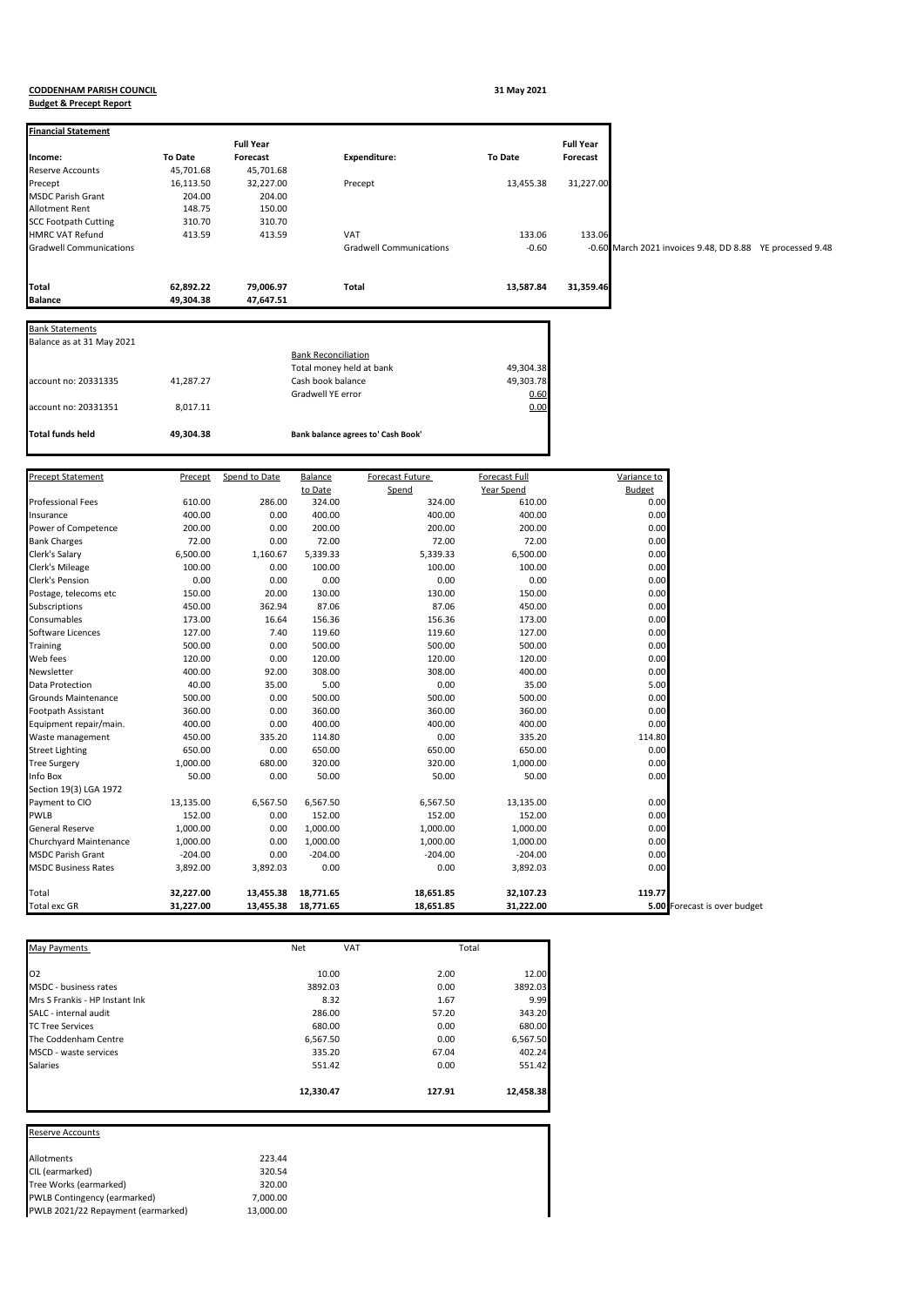## **CODDENHAM PARISH COUNCIL 31 May 2021 Budget & Precept Report**

| <b>Financial Statement</b>     |                | <b>Full Year</b> |                            |                                    |                      | <b>Full Year</b> |                                                     |  |
|--------------------------------|----------------|------------------|----------------------------|------------------------------------|----------------------|------------------|-----------------------------------------------------|--|
| ncome:                         | <b>To Date</b> | Forecast         |                            | <b>Expenditure:</b>                | <b>To Date</b>       | Forecast         |                                                     |  |
| Reserve Accounts               | 45,701.68      | 45,701.68        |                            |                                    |                      |                  |                                                     |  |
| Precept                        | 16,113.50      | 32,227.00        |                            | Precept                            | 13,455.38            | 31,227.00        |                                                     |  |
| MSDC Parish Grant              | 204.00         | 204.00           |                            |                                    |                      |                  |                                                     |  |
| Allotment Rent                 | 148.75         | 150.00           |                            |                                    |                      |                  |                                                     |  |
|                                |                | 310.70           |                            |                                    |                      |                  |                                                     |  |
| <b>SCC Footpath Cutting</b>    | 310.70         |                  |                            |                                    |                      |                  |                                                     |  |
| <b>HMRC VAT Refund</b>         | 413.59         | 413.59           |                            | VAT                                | 133.06               | 133.06           |                                                     |  |
| <b>Gradwell Communications</b> |                |                  |                            | <b>Gradwell Communications</b>     | $-0.60$              | $-0.60$          | March 2021 invoices 9.48, DD 8.88 YE processed 9.48 |  |
| Total                          | 62,892.22      | 79,006.97        |                            | Total                              | 13,587.84            | 31,359.46        |                                                     |  |
| <b>Balance</b>                 | 49,304.38      | 47,647.51        |                            |                                    |                      |                  |                                                     |  |
| <b>Bank Statements</b>         |                |                  |                            |                                    |                      |                  |                                                     |  |
| Balance as at 31 May 2021      |                |                  |                            |                                    |                      |                  |                                                     |  |
|                                |                |                  |                            |                                    |                      |                  |                                                     |  |
|                                |                |                  | <b>Bank Reconciliation</b> |                                    |                      |                  |                                                     |  |
|                                |                |                  | Total money held at bank   |                                    | 49,304.38            |                  |                                                     |  |
| account no: 20331335           | 41,287.27      |                  | Cash book balance          |                                    | 49,303.78            |                  |                                                     |  |
|                                |                |                  | Gradwell YE error          |                                    | 0.60                 |                  |                                                     |  |
| account no: 20331351           | 8,017.11       |                  |                            |                                    | 0.00                 |                  |                                                     |  |
| <b>Total funds held</b>        | 49,304.38      |                  |                            | Bank balance agrees to' Cash Book' |                      |                  |                                                     |  |
|                                |                |                  |                            |                                    |                      |                  |                                                     |  |
| Precept Statement              | Precept        | Spend to Date    | Balance                    | Forecast Future                    | <b>Forecast Full</b> |                  | Variance to                                         |  |
|                                |                |                  | to Date                    | Spend                              | Year Spend           |                  | <b>Budget</b>                                       |  |
| Professional Fees              | 610.00         | 286.00           | 324.00                     | 324.00                             | 610.00               |                  | 0.00                                                |  |
| Insurance                      | 400.00         | 0.00             | 400.00                     | 400.00                             | 400.00               |                  | 0.00                                                |  |
| Power of Competence            | 200.00         | 0.00             | 200.00                     | 200.00                             | 200.00               |                  | 0.00                                                |  |
| <b>Bank Charges</b>            | 72.00          | 0.00             | 72.00                      | 72.00                              | 72.00                |                  | 0.00                                                |  |
| Clerk's Salary                 | 6,500.00       | 1,160.67         | 5,339.33                   | 5,339.33                           | 6,500.00             |                  | 0.00                                                |  |
| Clerk's Mileage                | 100.00         | 0.00             | 100.00                     | 100.00                             | 100.00               |                  | 0.00                                                |  |
| Clerk's Pension                | 0.00           | 0.00             | 0.00                       | 0.00                               | 0.00                 |                  | 0.00                                                |  |
| Postage, telecoms etc          | 150.00         | 20.00            | 130.00                     | 130.00                             | 150.00               |                  | 0.00                                                |  |
| Subscriptions                  | 450.00         | 362.94           | 87.06                      | 87.06                              | 450.00               |                  | 0.00                                                |  |
| Consumables                    | 173.00         | 16.64            | 156.36                     | 156.36                             | 173.00               |                  | 0.00                                                |  |
| Software Licences              | 127.00         | 7.40             | 119.60                     | 119.60                             | 127.00               |                  | 0.00                                                |  |
| Training                       | 500.00         | 0.00             | 500.00                     | 500.00                             | 500.00               |                  | 0.00                                                |  |
| Web fees                       | 120.00         | 0.00             | 120.00                     | 120.00                             | 120.00               |                  | 0.00                                                |  |
| Vewsletter                     | 400.00         | 92.00            | 308.00                     | 308.00                             | 400.00               |                  | 0.00                                                |  |
| Data Protection                |                |                  |                            |                                    |                      |                  |                                                     |  |
|                                | 40.00          | 35.00            | 5.00                       | 0.00                               | 35.00                |                  | 5.00                                                |  |
| Grounds Maintenance            | 500.00         | 0.00             | 500.00                     | 500.00                             | 500.00               |                  | 0.00                                                |  |
| Footpath Assistant             | 360.00         | 0.00             | 360.00                     | 360.00                             | 360.00               |                  | 0.00                                                |  |
| Equipment repair/main.         | 400.00         | 0.00             | 400.00                     | 400.00                             | 400.00               |                  | 0.00                                                |  |
| Waste management               | 450.00         | 335.20           | 114.80                     | 0.00                               | 335.20               |                  | 114.80                                              |  |
| Street Lighting                | 650.00         | 0.00             | 650.00                     | 650.00                             | 650.00               |                  | 0.00                                                |  |
| <b>Tree Surgery</b>            | 1,000.00       | 680.00           | 320.00                     | 320.00                             | 1,000.00             |                  | 0.00                                                |  |
| nfo Box                        | 50.00          | 0.00             | 50.00                      | 50.00                              | 50.00                |                  | 0.00                                                |  |
| Section 19(3) LGA 1972         |                |                  |                            |                                    |                      |                  |                                                     |  |
| Payment to CIO                 | 13,135.00      | 6,567.50         | 6,567.50                   | 6,567.50                           | 13,135.00            |                  | 0.00                                                |  |
| <b>WLB</b>                     | 152.00         | 0.00             | 152.00                     | 152.00                             | 152.00               |                  | 0.00                                                |  |
| General Reserve                | 1,000.00       | 0.00             | 1,000.00                   | 1,000.00                           | 1,000.00             |                  | 0.00                                                |  |
| Churchyard Maintenance         | 1,000.00       | 0.00             | 1,000.00                   | 1,000.00                           | 1,000.00             |                  | 0.00                                                |  |
| <b>MSDC Parish Grant</b>       | $-204.00$      | 0.00             | $-204.00$                  | $-204.00$                          | $-204.00$            |                  | 0.00                                                |  |
| <b>MSDC Business Rates</b>     | 3,892.00       | 3,892.03         | 0.00                       | 0.00                               | 3,892.03             |                  | 0.00                                                |  |
| Total                          | 32,227.00      | 13,455.38        | 18,771.65                  | 18,651.85                          | 32,107.23            |                  | 119.77                                              |  |
| Total exc GR                   | 31,227.00      | 13,455.38        | 18,771.65                  | 18,651.85                          | 31,222.00            |                  | 5.00 Forecast is over budget                        |  |

| May Payments                   | <b>Net</b> | <b>VAT</b> | Total  |           |
|--------------------------------|------------|------------|--------|-----------|
| O <sub>2</sub>                 | 10.00      |            | 2.00   | 12.00     |
| MSDC - business rates          | 3892.03    |            | 0.00   | 3892.03   |
| Mrs S Frankis - HP Instant Ink | 8.32       |            | 1.67   | 9.99      |
| SALC - internal audit          | 286.00     |            | 57.20  | 343.20    |
| <b>TC Tree Services</b>        | 680.00     |            | 0.00   | 680.00    |
| The Coddenham Centre           | 6,567.50   |            | 0.00   | 6,567.50  |
| MSCD - waste services          | 335.20     |            | 67.04  | 402.24    |
| <b>Salaries</b>                | 551.42     |            | 0.00   | 551.42    |
|                                | 12,330.47  |            | 127.91 | 12,458.38 |

Reserve Accounts

| 223.44    |
|-----------|
| 320.54    |
| 320.00    |
| 7,000.00  |
| 13,000.00 |
|           |